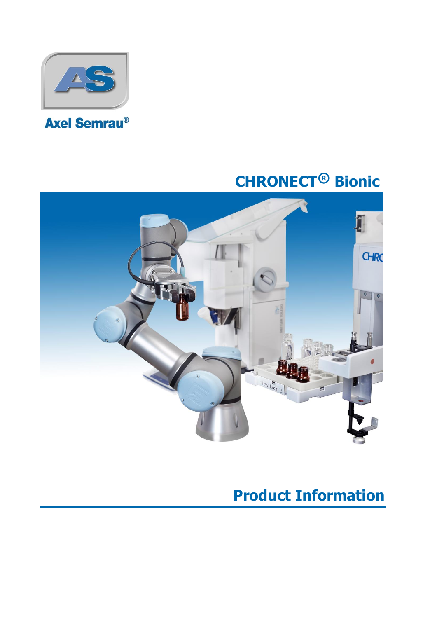

# **CHRONECT**® **Bionic**



## **Product Information**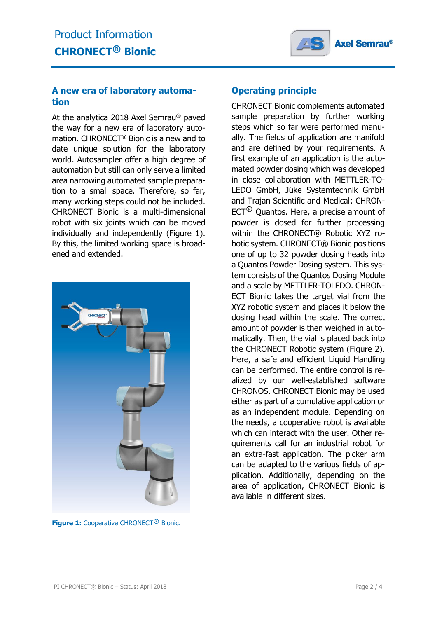

#### **A new era of laboratory automation**

At the analytica 2018 Axel Semrau® paved the way for a new era of laboratory automation. CHRONECT® Bionic is a new and to date unique solution for the laboratory world. Autosampler offer a high degree of automation but still can only serve a limited area narrowing automated sample preparation to a small space. Therefore, so far, many working steps could not be included. CHRONECT Bionic is a multi-dimensional robot with six joints which can be moved individually and independently (Figure 1). By this, the limited working space is broadened and extended.



**Figure 1:** Cooperative CHRONECT® Bionic.

#### **Operating principle**

CHRONECT Bionic complements automated sample preparation by further working steps which so far were performed manually. The fields of application are manifold and are defined by your requirements. A first example of an application is the automated powder dosing which was developed in close collaboration with METTLER-TO-LEDO GmbH, Jüke Systemtechnik GmbH and Trajan Scientific and Medical: CHRON- $ECT<sup>®</sup>$  Quantos. Here, a precise amount of powder is dosed for further processing within the CHRONECT® Robotic XYZ robotic system. CHRONECT® Bionic positions one of up to 32 powder dosing heads into a Quantos Powder Dosing system. This system consists of the Quantos Dosing Module and a scale by METTLER-TOLEDO. CHRON-ECT Bionic takes the target vial from the XYZ robotic system and places it below the dosing head within the scale. The correct amount of powder is then weighed in automatically. Then, the vial is placed back into the CHRONECT Robotic system (Figure 2). Here, a safe and efficient Liquid Handling can be performed. The entire control is realized by our well-established software CHRONOS. CHRONECT Bionic may be used either as part of a cumulative application or as an independent module. Depending on the needs, a cooperative robot is available which can interact with the user. Other requirements call for an industrial robot for an extra-fast application. The picker arm can be adapted to the various fields of application. Additionally, depending on the area of application, CHRONECT Bionic is available in different sizes.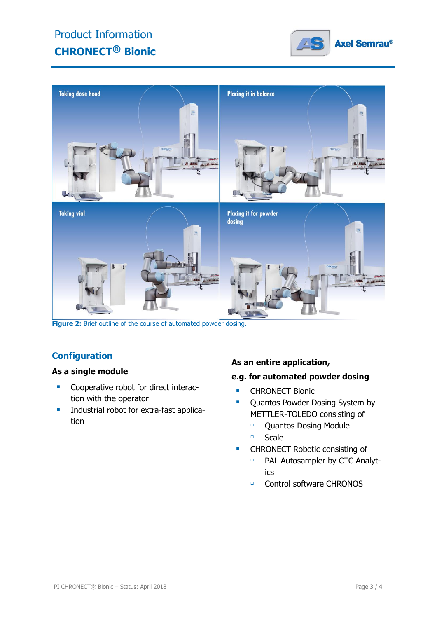### Product Information **CHRONECT**® **Bionic**





**Figure 2:** Brief outline of the course of automated powder dosing.

### **Configuration**

#### **As a single module**

- **Cooperative robot for direct interac**tion with the operator
- **Industrial robot for extra-fast applica**tion

#### **As an entire application,**

#### **e.g. for automated powder dosing**

- **CHRONECT Bionic**
- Quantos Powder Dosing System by METTLER-TOLEDO consisting of
	- **Quantos Dosing Module**
	- <sup>□</sup> Scale
- **CHRONECT Robotic consisting of** 
	- **PAL Autosampler by CTC Analyt**ics
	- □ Control software CHRONOS